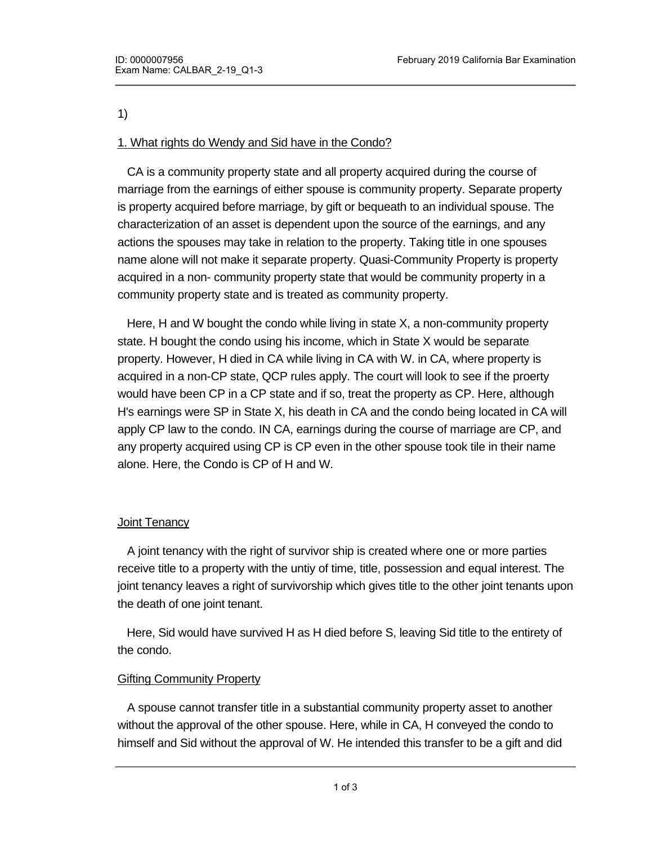#### 1)

# 1. What rights do Wendy and Sid have in the Condo?

 CA is a community property state and all property acquired during the course of marriage from the earnings of either spouse is community property. Separate property is property acquired before marriage, by gift or bequeath to an individual spouse. The characterization of an asset is dependent upon the source of the earnings, and any actions the spouses may take in relation to the property. Taking title in one spouses name alone will not make it separate property. Quasi-Community Property is property acquired in a non- community property state that would be community property in a community property state and is treated as community property.

 Here, H and W bought the condo while living in state X, a non-community property state. H bought the condo using his income, which in State X would be separate property. However, H died in CA while living in CA with W. in CA, where property is acquired in a non-CP state, QCP rules apply. The court will look to see if the proerty would have been CP in a CP state and if so, treat the property as CP. Here, although H's earnings were SP in State X, his death in CA and the condo being located in CA will apply CP law to the condo. IN CA, earnings during the course of marriage are CP, and any property acquired using CP is CP even in the other spouse took tile in their name alone. Here, the Condo is CP of H and W.

### **Joint Tenancy**

 A joint tenancy with the right of survivor ship is created where one or more parties receive title to a property with the untiy of time, title, possession and equal interest. The joint tenancy leaves a right of survivorship which gives title to the other joint tenants upon the death of one joint tenant.

 Here, Sid would have survived H as H died before S, leaving Sid title to the entirety of the condo.

### **Gifting Community Property**

 A spouse cannot transfer title in a substantial community property asset to another without the approval of the other spouse. Here, while in CA, H conveyed the condo to himself and Sid without the approval of W. He intended this transfer to be a gift and did

not receive compensation for the transfer. By doing so, W can seek to invalidate the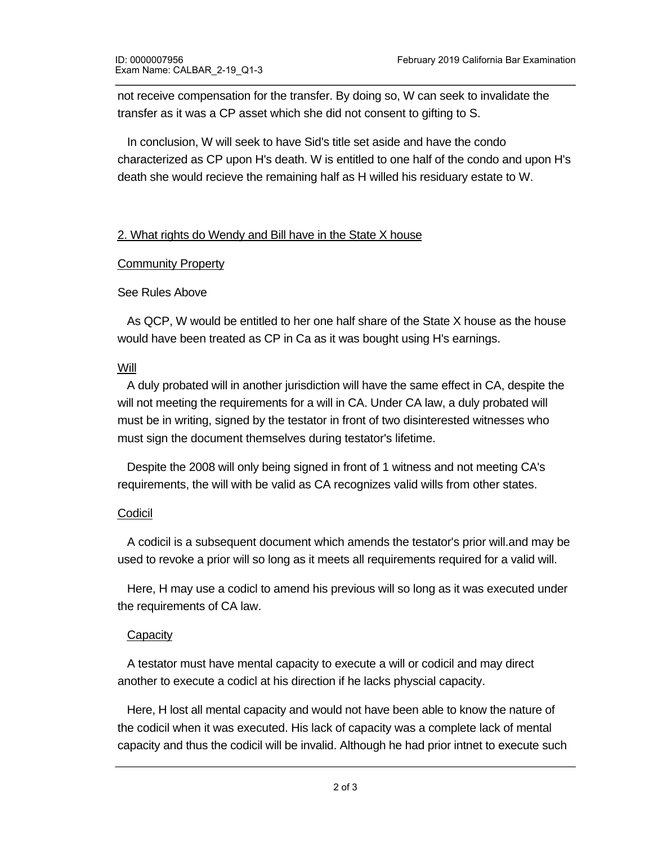not receive compensation for the transfer. By doing so, W can seek to invalidate the transfer as it was a CP asset which she did not consent to gifting to S.

 In conclusion, W will seek to have Sid's title set aside and have the condo characterized as CP upon H's death. W is entitled to one half of the condo and upon H's death she would recieve the remaining half as H willed his residuary estate to W.

## 2. What rights do Wendy and Bill have in the State X house

### **Community Property**

### See Rules Above

 As QCP, W would be entitled to her one half share of the State X house as the house would have been treated as CP in Ca as it was bought using H's earnings.

### Will

 A duly probated will in another jurisdiction will have the same effect in CA, despite the will not meeting the requirements for a will in CA. Under CA law, a duly probated will must be in writing, signed by the testator in front of two disinterested witnesses who must sign the document themselves during testator's lifetime.

 Despite the 2008 will only being signed in front of 1 witness and not meeting CA's requirements, the will with be valid as CA recognizes valid wills from other states.

### Codicil

 A codicil is a subsequent document which amends the testator's prior will.and may be used to revoke a prior will so long as it meets all requirements required for a valid will.

 Here, H may use a codicl to amend his previous will so long as it was executed under the requirements of CA law.

### **Capacity**

 A testator must have mental capacity to execute a will or codicil and may direct another to execute a codicl at his direction if he lacks physcial capacity.

 Here, H lost all mental capacity and would not have been able to know the nature of the codicil when it was executed. His lack of capacity was a complete lack of mental capacity and thus the codicil will be invalid. Although he had prior intnet to execute such

a codicil, his lack of capacity at the execution of the execution of the codicl cannot be overcome by this lack of this lack of the codical cannot be overcome by this lack of the codical cannot be overcome by this lack of